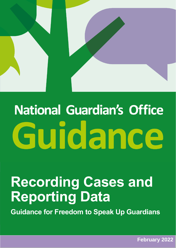

# **National Guardian's Office** Guidance

## **Recording Cases and Reporting Data**

**Guidance for Freedom to Speak Up Guardians**

**February 2022**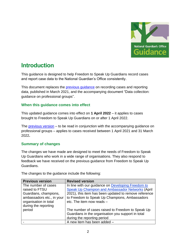

## **Introduction**

This guidance is designed to help Freedom to Speak Up Guardians record cases and report case data to the National Guardian's Office consistently.

This document replaces the [previous guidance](https://nationalguardian.org.uk/wp-content/uploads/2021/04/recording_cases_and_reporting_data_guidance_2021.pdf) on recording cases and reporting data, published in March 2021, and the accompanying document "Data collection: guidance on professional groups".

#### **When this guidance comes into effect**

This updated guidance comes into effect on **1 April 2022** – it applies to cases brought to Freedom to Speak Up Guardians on or after 1 April 2022.

The [previous version](https://nationalguardian.org.uk/wp-content/uploads/2021/04/recording_cases_and_reporting_data_guidance_2021.pdf) – to be read in conjunction with the accompanying guidance on professional groups – applies to cases received between 1 April 2021 and 31 March 2022**.** 

#### **Summary of changes**

The changes we have made are designed to meet the needs of Freedom to Speak Up Guardians who work in a wide range of organisations. They also respond to feedback we have received on the previous guidance from Freedom to Speak Up Guardians.

| <b>Previous version</b>   | <b>Revised version</b>                                |
|---------------------------|-------------------------------------------------------|
| The number of cases       | In line with our guidance on Developing Freedom to    |
| raised to FTSU            | Speak Up Champion and Ambassador Networks (April      |
| Guardians, champions,     | 2021), this item has been updated to remove reference |
| ambassadors etc., in your | to Freedom to Speak Up Champions, Ambassadors         |
| organisation in total     | etc. The item now reads -                             |
| during the reporting      |                                                       |
| period                    | The number of cases raised to Freedom to Speak Up     |
|                           | Guardians in the organisation you support in total    |
|                           | during the reporting period                           |
|                           | A new item has been added -                           |

The changes to the guidance include the following: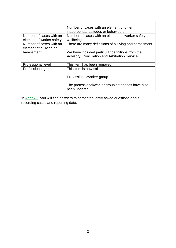|                                                     | Number of cases with an element of other<br>inappropriate attitudes or behaviours                   |
|-----------------------------------------------------|-----------------------------------------------------------------------------------------------------|
| Number of cases with an<br>element of worker safety | Number of cases with an element of worker safety or<br>wellbeing                                    |
| Number of cases with an<br>element of bullying or   | There are many definitions of bullying and harassment.                                              |
| harassment                                          | We have included particular definitions from the<br>Advisory, Conciliation and Arbitration Service. |
| <b>Professional level</b>                           | This item has been removed.                                                                         |
| Professional group                                  | This item is now called $-$                                                                         |
|                                                     | Professional/worker group                                                                           |
|                                                     | The professional/worker group categories have also<br>been updated.                                 |

In [Annex 2,](#page-21-0) you will find answers to some frequently asked questions about recording cases and reporting data.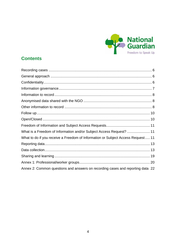

## **Contents**

| What is a Freedom of Information and/or Subject Access Request?  11             |
|---------------------------------------------------------------------------------|
| What to do if you receive a Freedom of Information or Subject Access Request 11 |
|                                                                                 |
|                                                                                 |
|                                                                                 |
|                                                                                 |
| Annex 2: Common questions and answers on recording cases and reporting data 22  |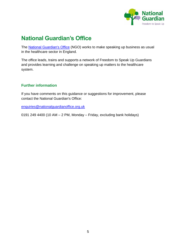

## **National Guardian's Office**

The [National Guardian's Office](http://www.nationalguardian.org.uk/) (NGO) works to make speaking up business as usual in the healthcare sector in England.

The office leads, trains and supports a network of Freedom to Speak Up Guardians and provides learning and challenge on speaking up matters to the healthcare system.

#### **Further information**

If you have comments on this guidance or suggestions for improvement, please contact the National Guardian's Office:

[enquiries@nationalguardianoffice.org.uk](mailto:enquiries@nationalguardianoffice.org.uk)

0191 249 4400 (10 AM – 2 PM, Monday – Friday, excluding bank holidays)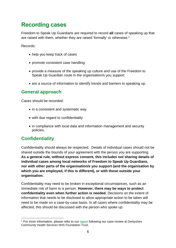## <span id="page-5-0"></span>**Recording cases**

Freedom to Speak Up Guardians are required to record **all** cases of speaking up that are raised with them, whether they are raised 'formally' or otherwise.<sup>1</sup>

Records:

- help you keep track of cases
- promote consistent case handling
- provide a measure of the speaking up culture and use of the Freedom to Speak Up Guardian route in the organisation/s you support
- are a source of information to identify trends and barriers to speaking up.

## <span id="page-5-1"></span>**General approach**

Cases should be recorded:

- in a consistent and systematic way
- with due regard to confidentiality
- in compliance with local data and information management and security policies.

## <span id="page-5-2"></span>**Confidentiality**

Confidentiality should always be respected. Details of individual cases should not be shared outside the bounds of your agreement with the person you are supporting. **As a general rule, without express consent, this includes not sharing details of individual cases among local networks of Freedom to Speak Up Guardians, nor with other parts of the organisation/s you support (and the organisation by which you are employed, if this is different), or with those outside your organisation.** 

Confidentiality may need to be broken in exceptional circumstances, such as an immediate risk of harm to a person. **However, there may be ways to protect confidentiality even when further action is needed.** Decisions on the extent of information that needs to be disclosed to allow appropriate action to be taken will need to be made on a case-by-case basis. In all cases where confidentiality may be affected, this should be discussed with the person who spoke up.

<sup>1</sup> For more information, please refer to our [report](https://nationalguardian.org.uk/case-review/derbyshire-community-health-services-nhs-trust/) following our case review at Derbyshire Community Health Services NHS Foundation Trust.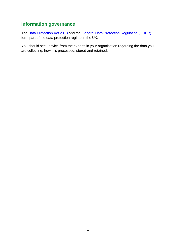## <span id="page-6-0"></span>**Information governance**

The [Data Protection Act 2018](https://www.legislation.gov.uk/ukpga/2018/12/contents/enacted) and the [General Data Protection Regulation \(GDPR\)](https://www.gov.uk/government/publications/guide-to-the-general-data-protection-regulation) form part of the data protection regime in the UK.

You should seek advice from the experts in your organisation regarding the data you are collecting, how it is processed, stored and retained.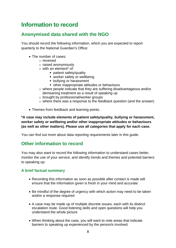## <span id="page-7-0"></span>**Information to record**

## <span id="page-7-1"></span>**Anonymised data shared with the NGO**

You should record the following information, which you are expected to report quarterly to the National Guardian's Office:

- The number of cases:
	- o received
	- o raised anonymously
	- o with an element\* of:
		- patient safety/quality
		- worker safety or wellbeing
		- **bullying or harassment**
		- other inappropriate attitudes or behaviours
	- o where people indicate that they are suffering disadvantageous and/or demeaning treatment as a result of speaking up
	- o brought by professional/worker groups
	- o where there was a response to the feedback question (and the answer)
- Themes from feedback and learning points.

**\*A case may include elements of patient safety/quality, bullying or harassment, worker safety or wellbeing and/or other inappropriate attitudes or behaviours (as well as other matters). Please use all categories that apply for each case.**

You can find out more about data reporting requirements later in this guide.

## <span id="page-7-2"></span>**Other information to record**

You may also want to record the following information to understand cases better, monitor the use of your service, and identify trends and themes and potential barriers to speaking up:

#### **A brief factual summary**

- Recording this information as soon as possible after contact is made will ensure that the information given is fresh in your mind and accurate
- Be mindful of the degree of urgency with which action may need to be taken and/or a response required
- A case may be made up of multiple discrete issues, each with its distinct escalation route. Good listening skills and open questions will help you understand the whole picture
- When thinking about the case, you will want to note areas that indicate barriers to speaking up experienced by the person/s involved.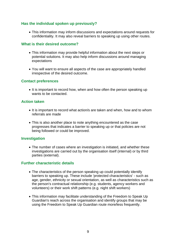#### **Has the individual spoken up previously?**

• This information may inform discussions and expectations around requests for confidentiality. It may also reveal barriers to speaking up using other routes.

#### **What is their desired outcome?**

- This information may provide helpful information about the next steps or potential solutions. It may also help inform discussions around managing expectations
- You will want to ensure all aspects of the case are appropriately handled irrespective of the desired outcome.

#### **Contact preferences**

• It is important to record how, when and how often the person speaking up wants to be contacted.

#### **Action taken**

- It is important to record what action/s are taken and when, how and to whom referrals are made
- This is also another place to note anything encountered as the case progresses that indicates a barrier to speaking up or that policies are not being followed or could be improved.

#### **Investigation**

• The number of cases where an investigation is initiated, and whether these investigations are carried out by the organisation itself (internal) or by third parties (external).

#### **Further characteristic details**

- The characteristics of the person speaking up could potentially identify barriers to speaking up. These include 'protected characteristics' - such as age, gender, ethnicity or sexual orientation, as well as characteristics such as the person's contractual relationship (e.g. students, agency workers and volunteers) or their work shift patterns (e.g. night shift workers)
- This information may facilitate understanding of the Freedom to Speak Up Guardian's reach across the organisation and identify groups that may be using the Freedom to Speak Up Guardian route more/less frequently.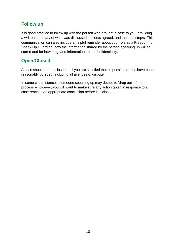## <span id="page-9-0"></span>**Follow up**

It is good practice to follow up with the person who brought a case to you, providing a written summary of what was discussed, action/s agreed, and the next step/s. This communication can also include a helpful reminder about your role as a Freedom to Speak Up Guardian, how the information shared by the person speaking up will be stored and for how long, and information about confidentiality.

## <span id="page-9-1"></span>**Open/Closed**

A case should not be closed until you are satisfied that all possible routes have been reasonably pursued, including all avenues of dispute.

In some circumstances, someone speaking up may decide to 'drop out' of the process – however, you will want to make sure any action taken in response to a case reaches an appropriate conclusion before it is closed.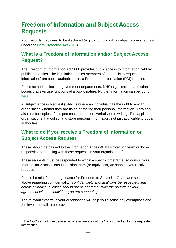## <span id="page-10-0"></span>**Freedom of Information and Subject Access Requests**

Your records may need to be disclosed (e.g. to comply with a subject access request under the [Data Protection Act 2018\)](https://itservicemanagementcqcorg.sharepoint.com/sites/NationalGuardian/Shared%20Documents/Intel%20and%20Learning/SU%20Data%20Collection/2021%2022/Updating%20Guidance/Data%20Protection%20Act%202018).

## <span id="page-10-1"></span>**What is a Freedom of Information and/or Subject Access Request?**

The Freedom of Information Act 2000 provides public access to information held by public authorities. The legislation entitles members of the public to request information from public authorities, i.e. a Freedom of Information (FOI) request.

Public authorities include government departments, NHS organisations and other bodies that exercise functions of a public nature. Further information can be found [here.](https://ico.org.uk/media/1152/public_authorities_under_the_foia.pdf)

A Subject Access Request (SAR) is where an individual has the right to ask an organisation whether they are using or storing their personal information. They can also ask for copies of this personal information, verbally or in writing. This applies to organisations that collect and store personal information, not just applicable to public authorities.

## <span id="page-10-2"></span>**What to do if you receive a Freedom of Information or Subject Access Request**

These should be passed to the Information Access/Data Protection team or those responsible for dealing with these requests in your organisation.<sup>2</sup>

These requests must be responded to within a specific timeframe, so consult your Information Access/Data Protection team (or equivalent) as soon as you receive a request.

Please be mindful of our guidance for Freedom to Speak Up Guardians set out above regarding confidentiality: *'confidentiality should always be respected, and details of individual cases should not be shared outside the bounds of your agreement with the individual you are supporting*'.

The relevant experts in your organisation will help you discuss any exemptions and the level of detail to be provided.

 $2$  The NGO cannot give detailed advice as we are not the 'data controller' for the requested information.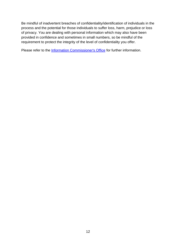Be mindful of inadvertent breaches of confidentiality/identification of individuals in the process and the potential for those individuals to suffer loss, harm, prejudice or loss of privacy. You are dealing with personal information which may also have been provided in confidence and sometimes in small numbers, so be mindful of the requirement to protect the integrity of the level of confidentiality you offer.

Please refer to the [Information Commissioner's Office](https://ico.org.uk/) for further information.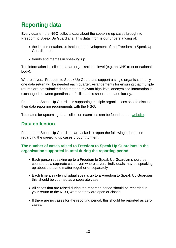## <span id="page-12-0"></span>**Reporting data**

Every quarter, the NGO collects data about the speaking up cases brought to Freedom to Speak Up Guardians. This data informs our understanding of:

- the implementation, utilisation and development of the Freedom to Speak Up Guardian role
- trends and themes in speaking up.

The information is collected at an organisational level (e.g. an NHS trust or national body).

Where several Freedom to Speak Up Guardians support a single organisation only one data return will be needed each quarter. Arrangements for ensuring that multiple returns are not submitted and that the relevant high-level anonymised information is exchanged between guardians to facilitate this should be made locally.

Freedom to Speak Up Guardian's supporting multiple organisations should discuss their data reporting requirements with the NGO.

The dates for upcoming data collection exercises can be found on our [website.](https://www.nationalguardian.org.uk/freedom-to-speak-up-guardian-directory/)

## <span id="page-12-1"></span>**Data collection**

Freedom to Speak Up Guardians are asked to report the following information regarding the speaking up cases brought to them:

#### **The number of cases raised to Freedom to Speak Up Guardians in the organisation supported in total during the reporting period**

- Each person speaking up to a Freedom to Speak Up Guardian should be counted as a separate case even where several individuals may be speaking up about the same matter together or separately
- Each time a single individual speaks up to a Freedom to Speak Up Guardian this should be counted as a separate case
- All cases that are raised during the reporting period should be recorded in your return to the NGO, whether they are open or closed
- If there are no cases for the reporting period, this should be reported as zero cases.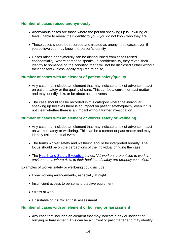#### **Number of cases raised anonymously**

- Anonymous cases are those where the person speaking up is unwilling or feels unable to reveal their identity to you - you do not know who they are
- These cases should be recorded and treated as anonymous cases even if you believe you may know the person's identity
- Cases raised anonymously can be distinguished from cases raised confidentiality. Where someone speaks up confidentiality, they reveal their identity to someone on the condition that it will not be disclosed further without their consent (unless legally required to do so).

#### **Number of cases with an element of patient safety/quality**

- Any case that includes an element that may indicate a risk of adverse impact on patient safety or the quality of care. This can be a current or past matter and may identify risks or be about actual events
- The case should still be recorded in this category where the individual speaking up believes there is an impact on patient safety/quality, even if it is not clear whether there is an impact without further investigation.

#### **Number of cases with an element of worker safety or wellbeing**

- Any case that includes an element that may indicate a risk of adverse impact on worker safety or wellbeing. This can be a current or past matter and may identify risks or actual events
- The terms worker safety and wellbeing should be interpreted broadly. The focus should be on the perceptions of the individual bringing the case
- The [Health and Safety Executive](https://www.hse.gov.uk/workers/) states: *"All workers are entitled to work in environments where risks to their health and safety are properly controlled."*

Examples of worker safety or wellbeing could include:

- Lone working arrangements, especially at night
- Insufficient access to personal protective equipment
- Stress at work
- Unsuitable or insufficient risk assessment

#### **Number of cases with an element of bullying or harassment**

• Any case that includes an element that may indicate a risk or incident of bullying or harassment. This can be a current or past matter and may identify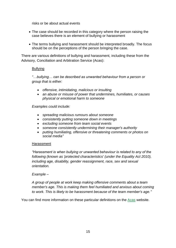risks or be about actual events

- The case should be recorded in this category where the person raising the case believes there is an element of bullying or harassment
- The terms bullying and harassment should be interpreted broadly. The focus should be on the perceptions of the person bringing the case.

There are various definitions of bullying and harassment, including these from the Advisory, Conciliation and Arbitration Service (Acas):

#### **Bullying**

*"…bullying… can be described as unwanted behaviour from a person or group that is either:*

- *offensive, intimidating, malicious or insulting*
- *an abuse or misuse of power that undermines, humiliates, or causes physical or emotional harm to someone*

#### *Examples could include:*

- *spreading malicious rumours about someone*
- *consistently putting someone down in meetings*
- *excluding someone from team social events*
- *someone consistently undermining their manager's authority*
- *putting humiliating, offensive or threatening comments or photos on social media"*

#### Harassment

*"Harassment is when bullying or unwanted behaviour is related to any of the following (known as 'protected characteristics' (under the Equality Act 2010), including age, disability, gender reassignment, race, sex and sexual orientation.*

#### *Example –*

*A group of people at work keep making offensive comments about a team member's age. This is making them feel humiliated and anxious about coming to work. This is likely to be harassment because of the team member's age."*

You can find more information on these particular definitions on the [Acas](https://www.acas.org.uk/handling-a-bullying-harassment-discrimination-complaint) website.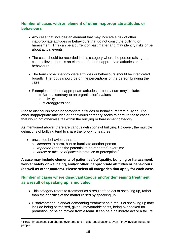#### **Number of cases with an element of other inappropriate attitudes or behaviours**

- Any case that includes an element that may indicate a risk of other inappropriate attitudes or behaviours that do not constitute bullying or harassment. This can be a current or past matter and may identify risks or be about actual events
- The case should be recorded in this category where the person raising the case believes there is an element of other inappropriate attitudes or behaviours
- The terms other inappropriate attitudes or behaviours should be interpreted broadly. The focus should be on the perceptions of the person bringing the case
- Examples of other inappropriate attitudes or behaviours may include:
	- o Actions contrary to an organisation's values
	- o Incivility
	- o Microaggressions.

Please distinguish other inappropriate attitudes or behaviours from bullying. The other inappropriate attitudes or behaviours category seeks to capture those cases that would not otherwise fall within the bullying or harassment category.

As mentioned above, there are various definitions of bullying. However, the multiple definitions of bullying tend to share the following features:

- unwanted behaviour, that is:
	- o *intended* to harm, hurt or humiliate another person
	- o *repeated* (or has the potential to be repeated) over time
	- o *abuse or misuse of power* in practice or perception.<sup>3</sup>

**A case may include elements of patient safety/quality, bullying or harassment, worker safety or wellbeing, and/or other inappropriate attitudes or behaviours (as well as other matters). Please select all categories that apply for each case.**

#### **Number of cases where disadvantageous and/or demeaning treatment as a result of speaking up is indicated**

- This category refers to treatment as a result of the act of speaking up, rather than the specifics of the matter raised by speaking up
- Disadvantageous and/or demeaning treatment as a result of speaking up may include being ostracised, given unfavourable shifts, being overlooked for promotion, or being moved from a team. It can be a deliberate act or a failure

<sup>&</sup>lt;sup>3</sup> Power imbalances can change over time and in different situations, even if they involve the same people.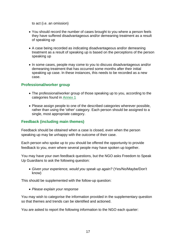to act (i.e. an omission)

- You should record the number of cases brought to you where a person feels they have suffered disadvantageous and/or demeaning treatment as a result of speaking up
- A case being recorded as indicating disadvantageous and/or demeaning treatment as a result of speaking up is based on the perceptions of the person speaking up
- In some cases, people may come to you to discuss disadvantageous and/or demeaning treatment that has occurred some months after their initial speaking up case. In these instances, this needs to be recorded as a new case.

#### **Professional/worker group**

- <span id="page-16-0"></span>• The professional/worker group of those speaking up to you, according to the categories found in [Annex 1](#page-16-0)
- Please assign people to one of the described categories wherever possible, rather than using the 'other' category. Each person should be assigned to a single, most appropriate category.

#### **Feedback (including main themes)**

Feedback should be obtained when a case is closed, even when the person speaking up may be unhappy with the outcome of their case.

Each person who spoke up to you should be offered the opportunity to provide feedback to you, even where several people may have spoken up together.

You may have your own feedback questions, but the NGO asks Freedom to Speak Up Guardians to ask the following question:

• *Given your experience, would you speak up again?* (Yes/No/Maybe/Don't know)

This should be supplemented with the follow-up question:

• *Please explain your response*

You may wish to categorise the information provided in the supplementary question so that themes and trends can be identified and actioned.

You are asked to report the following information to the NGO each quarter: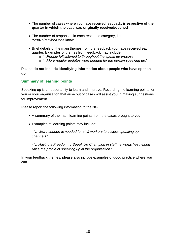- The number of cases where you have received feedback, **irrespective of the quarter in which the case was originally received/opened**
- The number of responses in each response category, i.e. Yes/No/Maybe/Don't know
- Brief details of the main themes from the feedback you have received each quarter. Examples of themes from feedback may include:
	- o *'…People felt listened to throughout the speak up process'*
	- o *'…More regular updates were needed for the person speaking up.'*

**Please do not include identifying information about people who have spoken up.** 

#### **Summary of learning points**

Speaking up is an opportunity to learn and improve. Recording the learning points for you or your organisation that arise out of cases will assist you in making suggestions for improvement.

Please report the following information to the NGO:

- A summary of the main learning points from the cases brought to you
- Examples of learning points may include:

- *'… More support is needed for shift workers to access speaking up channels.'*

- *'…Having a Freedom to Speak Up Champion in staff networks has helped raise the profile of speaking up in the organisation.'*

In your feedback themes, please also include examples of good practice where you can.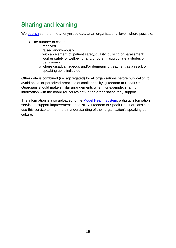## <span id="page-18-0"></span>**Sharing and learning**

We [publish](https://www.nationalguardian.org.uk/speaking-up-data/) some of the anonymised data at an organisational level, where possible:

- The number of cases:
	- o received
	- o raised anonymously
	- o with an element of: patient safety/quality; bullying or harassment; worker safety or wellbeing; and/or other inappropriate attitudes or behaviours
	- o where disadvantageous and/or demeaning treatment as a result of speaking up is indicated.

Other data is combined (i.e. aggregated) for all organisations before publication to avoid actual or perceived breaches of confidentiality. (Freedom to Speak Up Guardians should make similar arrangements when, for example, sharing information with the board (or equivalent) in the organisation they support.)

The information is also uploaded to the [Model Health System,](https://www.england.nhs.uk/applications/model-hospital/) a digital information service to support improvement in the NHS. Freedom to Speak Up Guardians can use this service to inform their understanding of their organisation's speaking up culture.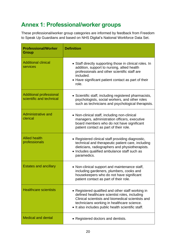## <span id="page-19-0"></span>**Annex 1: Professional/worker groups**

These professional/worker group categories are informed by feedback from Freedom to Speak Up Guardians and based on NHS Digital's National Workforce Data Set.

| <b>Professional/Worker</b><br><b>Group</b>          | <b>Definition</b>                                                                                                                                                                                                                                           |
|-----------------------------------------------------|-------------------------------------------------------------------------------------------------------------------------------------------------------------------------------------------------------------------------------------------------------------|
| <b>Additional clinical</b><br>services              | • Staff directly supporting those in clinical roles. In<br>addition, support to nursing, allied health<br>professionals and other scientific staff are<br>included.<br>• Have significant patient contact as part of their<br>role.                         |
| Additional professional<br>scientific and technical | • Scientific staff, including registered pharmacists,<br>psychologists, social workers, and other roles<br>such as technicians and psychological therapists.                                                                                                |
| Administrative and<br>clerical                      | • Non-clinical staff, including non-clinical<br>managers, administration officers, executive<br>board members who do not have significant<br>patient contact as part of their role.                                                                         |
| <b>Allied health</b><br>professionals               | • Registered clinical staff providing diagnostic,<br>technical and therapeutic patient care, including<br>dieticians, radiographers and physiotherapists.<br>• Includes qualified ambulance staff such as<br>paramedics.                                    |
| <b>Estates and ancillary</b>                        | • Non-clinical support and maintenance staff,<br>including gardeners, plumbers, cooks and<br>housekeepers who do not have significant<br>patient contact as part of their role.                                                                             |
| <b>Healthcare scientists</b>                        | • Registered qualified and other staff working in<br>defined healthcare scientist roles, including<br>Clinical scientists and biomedical scientists and<br>technicians working in healthcare science.<br>• It also includes public health scientific staff. |
| <b>Medical and dental</b>                           | • Registered doctors and dentists.                                                                                                                                                                                                                          |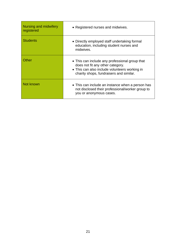| Nursing and midwifery<br>registered | • Registered nurses and midwives.                                                                                                                                              |
|-------------------------------------|--------------------------------------------------------------------------------------------------------------------------------------------------------------------------------|
| <b>Students</b>                     | • Directly employed staff undertaking formal<br>education, including student nurses and<br>midwives.                                                                           |
| Other                               | • This can include any professional group that<br>does not fit any other category.<br>• This can also include volunteers working in<br>charity shops, fundraisers and similar. |
| Not known                           | • This can include an instance when a person has<br>not disclosed their professional/worker group to<br>you or anonymous cases.                                                |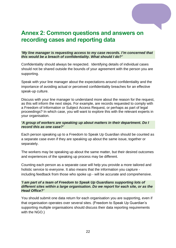## <span id="page-21-0"></span>**Annex 2: Common questions and answers on recording cases and reporting data**

#### *'My line manager is requesting access to my case records. I'm concerned that this would be a breach of confidentiality. What should I do?'*

Confidentiality should always be respected. Identifying details of individual cases should not be shared outside the bounds of your agreement with the person you are supporting.

Speak with your line manager about the expectations around confidentiality and the importance of avoiding actual or perceived confidentiality breaches for an effective speak-up culture.

Discuss with your line manager to understand more about the reason for the request, as this will inform the next steps. For example, are records requested to comply with a Freedom of Information or Subject Access Request, or perhaps as part of legal proceedings? In which case, you will want to explore this with the relevant experts in your organisation.

#### *'A group of workers are speaking up about matters in their department. Do I record this as one case?'*

Each person speaking up to a Freedom to Speak Up Guardian should be counted as a separate case even if they are speaking up about the same issue, together or separately.

The workers may be speaking up about the same matter, but their desired outcomes and experiences of the speaking up process may be different.

Counting each person as a separate case will help you provide a more tailored and holistic service to everyone. It also means that the information you capture including feedback from those who spoke up - will be accurate and comprehensive.

#### *'I am part of a team of Freedom to Speak Up Guardians supporting lots of different sites within a large organisation. Do we report for each site, or as the Head Office?'*

You should submit one data return for each organisation you are supporting, even if that organisation operates over several sites. (Freedom to Speak Up Guardian's supporting multiple organisations should discuss their data reporting requirements with the NGO.)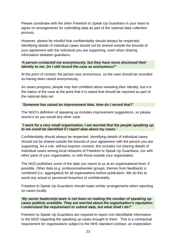Please coordinate with the other Freedom to Speak Up Guardians in your team to agree on arrangements for submitting data as part of the national data collection process.

However, please be mindful that confidentiality should always be respected. Identifying details of individual cases should not be shared outside the bounds of your agreement with the individual you are supporting, even when sharing information between guardians.

#### *'A person contacted me anonymously, but they have since disclosed their identity to me. Do I still record the case as anonymous?'*

At the point of contact, the person was anonymous, so the case should be recorded as having been raised anonymously.

As cases progress, people may feel confident about revealing their identity, but it is the status of the case at the point that it is raised that should be reported as part of the national data set.

#### *'Someone has raised an improvement idea. How do I record that?'*

The NGO's definition of speaking up includes improvement suggestions, so please record it as you would any other case.

#### *'I work for a very small organisation. I am worried that the people speaking up to me could be identified if I report data about my cases.'*

Confidentiality should always be respected. Identifying details of individual cases should not be shared outside the bounds of your agreement with the person you are supporting. As a rule, without express consent, this includes not sharing details of individual cases among local networks of Freedom to Speak Up Guardians, nor with other parts of your organisation, or with those outside your organisation.

The NGO publishes *some* of the data you report to us at an organisational level, if possible. Other data (e.g. professional/worker groups, themes from feedback) is combined (i.e. aggregated) for all organisations before publication. We do this to avoid any actual or perceived breaches of confidentiality.

Freedom to Speak Up Guardians should make similar arrangements when reporting on cases locally.

#### *'My senior leadership team is not keen on making the number of speaking up cases publicly available. They are worried about the organisation's reputation. I understand the requirement to submit data, but what shall I do?'*

Freedom to Speak Up Guardians are required to report non-identifiable information to the NGO regarding the speaking up cases brought to them. This is a contractual requirement for organisations subject to the NHS standard contract, an expectation